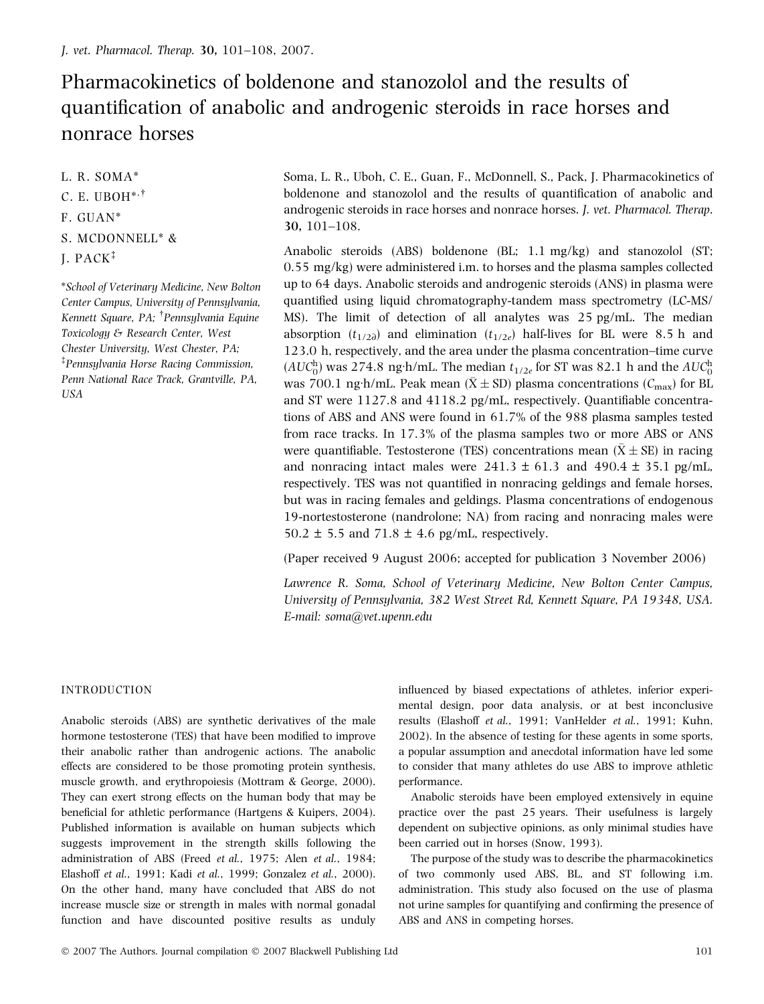# Pharmacokinetics of boldenone and stanozolol and the results of quantification of anabolic and androgenic steroids in race horses and nonrace horses

L. R. SOMA\*

## C. E. UBOH $^{*,\dagger}$

- F. GUAN\*
- S. MCDONNELL\* &
- J. PACK

\*School of Veterinary Medicine, New Bolton Center Campus, University of Pennsylvania, Kennett Square, PA; <sup>†</sup>Pennsylvania Equine Toxicology & Research Center, West Chester University, West Chester, PA; Pennsylvania Horse Racing Commission, Penn National Race Track, Grantville, PA, USA

Soma, L. R., Uboh, C. E., Guan, F., McDonnell, S., Pack, J. Pharmacokinetics of boldenone and stanozolol and the results of quantification of anabolic and androgenic steroids in race horses and nonrace horses. J. vet. Pharmacol. Therap. 30, 101–108.

Anabolic steroids (ABS) boldenone (BL; 1.1 mg/kg) and stanozolol (ST; 0.55 mg/kg) were administered i.m. to horses and the plasma samples collected up to 64 days. Anabolic steroids and androgenic steroids (ANS) in plasma were quantified using liquid chromatography-tandem mass spectrometry (LC-MS/ MS). The limit of detection of all analytes was 25 pg/mL. The median absorption  $(t_{1/2\partial})$  and elimination  $(t_{1/2e})$  half-lives for BL were 8.5 h and 123.0 h, respectively, and the area under the plasma concentration–time curve  $(AUC_0^h)$  was 274.8 ng·h/mL. The median  $t_{1/2e}$  for ST was 82.1 h and the  $AUC_0^h$ was 700.1 ng·h/mL. Peak mean ( $\bar{X} \pm SD$ ) plasma concentrations ( $\mathcal{C}_{\text{max}}$ ) for BL and ST were 1127.8 and 4118.2 pg/mL, respectively. Quantifiable concentrations of ABS and ANS were found in 61.7% of the 988 plasma samples tested from race tracks. In 17.3% of the plasma samples two or more ABS or ANS were quantifiable. Testosterone (TES) concentrations mean  $(\bar{\mathrm{X}} \pm \mathrm{SE})$  in racing and nonracing intact males were  $241.3 \pm 61.3$  and  $490.4 \pm 35.1$  pg/mL, respectively. TES was not quantified in nonracing geldings and female horses, but was in racing females and geldings. Plasma concentrations of endogenous 19-nortestosterone (nandrolone; NA) from racing and nonracing males were 50.2  $\pm$  5.5 and 71.8  $\pm$  4.6 pg/mL, respectively.

(Paper received 9 August 2006; accepted for publication 3 November 2006)

Lawrence R. Soma, School of Veterinary Medicine, New Bolton Center Campus, University of Pennsylvania, 382 West Street Rd, Kennett Square, PA 19348, USA. E-mail: soma@vet.upenn.edu

## INTRODUCTION

Anabolic steroids (ABS) are synthetic derivatives of the male hormone testosterone (TES) that have been modified to improve their anabolic rather than androgenic actions. The anabolic effects are considered to be those promoting protein synthesis, muscle growth, and erythropoiesis (Mottram & George, 2000). They can exert strong effects on the human body that may be beneficial for athletic performance (Hartgens & Kuipers, 2004). Published information is available on human subjects which suggests improvement in the strength skills following the administration of ABS (Freed et al., 1975; Alen et al., 1984; Elashoff et al., 1991; Kadi et al., 1999; Gonzalez et al., 2000). On the other hand, many have concluded that ABS do not increase muscle size or strength in males with normal gonadal function and have discounted positive results as unduly influenced by biased expectations of athletes, inferior experimental design, poor data analysis, or at best inconclusive results (Elashoff et al., 1991; VanHelder et al., 1991; Kuhn, 2002). In the absence of testing for these agents in some sports, a popular assumption and anecdotal information have led some to consider that many athletes do use ABS to improve athletic performance.

Anabolic steroids have been employed extensively in equine practice over the past 25 years. Their usefulness is largely dependent on subjective opinions, as only minimal studies have been carried out in horses (Snow, 1993).

The purpose of the study was to describe the pharmacokinetics of two commonly used ABS, BL, and ST following i.m. administration. This study also focused on the use of plasma not urine samples for quantifying and confirming the presence of ABS and ANS in competing horses.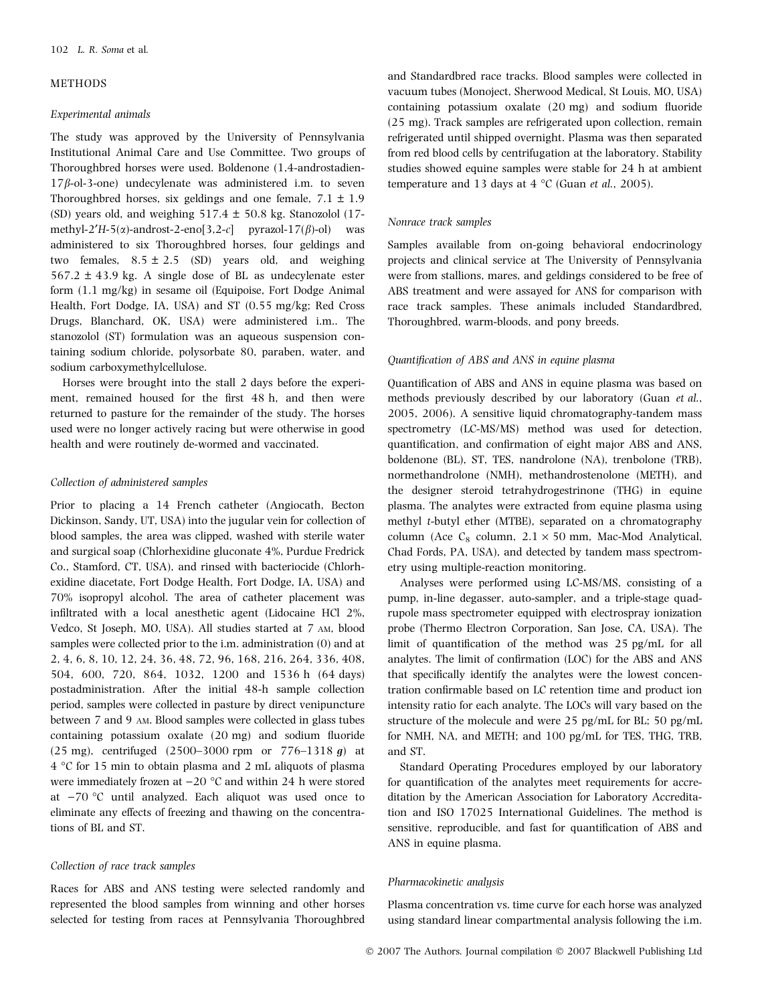#### METHODS

#### Experimental animals

The study was approved by the University of Pennsylvania Institutional Animal Care and Use Committee. Two groups of Thoroughbred horses were used. Boldenone (1,4-androstadien- $17\beta$ -ol-3-one) undecylenate was administered i.m. to seven Thoroughbred horses, six geldings and one female,  $7.1 \pm 1.9$ (SD) years old, and weighing  $517.4 \pm 50.8$  kg. Stanozolol (17methyl-2 $'H-5(\alpha)$ -androst-2-eno[3,2-c] pyrazol-17( $\beta$ )-ol) was administered to six Thoroughbred horses, four geldings and two females,  $8.5 \pm 2.5$  (SD) years old, and weighing  $567.2 \pm 43.9$  kg. A single dose of BL as undecylenate ester form (1.1 mg/kg) in sesame oil (Equipoise, Fort Dodge Animal Health, Fort Dodge, IA, USA) and ST (0.55 mg/kg; Red Cross Drugs, Blanchard, OK, USA) were administered i.m.. The stanozolol (ST) formulation was an aqueous suspension containing sodium chloride, polysorbate 80, paraben, water, and sodium carboxymethylcellulose.

Horses were brought into the stall 2 days before the experiment, remained housed for the first 48 h, and then were returned to pasture for the remainder of the study. The horses used were no longer actively racing but were otherwise in good health and were routinely de-wormed and vaccinated.

## Collection of administered samples

Prior to placing a 14 French catheter (Angiocath, Becton Dickinson, Sandy, UT, USA) into the jugular vein for collection of blood samples, the area was clipped, washed with sterile water and surgical soap (Chlorhexidine gluconate 4%, Purdue Fredrick Co., Stamford, CT, USA), and rinsed with bacteriocide (Chlorhexidine diacetate, Fort Dodge Health, Fort Dodge, IA, USA) and 70% isopropyl alcohol. The area of catheter placement was infiltrated with a local anesthetic agent (Lidocaine HCl 2%, Vedco, St Joseph, MO, USA). All studies started at 7 AM, blood samples were collected prior to the i.m. administration (0) and at 2, 4, 6, 8, 10, 12, 24, 36, 48, 72, 96, 168, 216, 264, 336, 408, 504, 600, 720, 864, 1032, 1200 and 1536 h (64 days) postadministration. After the initial 48-h sample collection period, samples were collected in pasture by direct venipuncture between 7 and 9 AM. Blood samples were collected in glass tubes containing potassium oxalate (20 mg) and sodium fluoride (25 mg), centrifuged (2500–3000 rpm or  $776-1318$  g) at 4 C for 15 min to obtain plasma and 2 mL aliquots of plasma were immediately frozen at  $-20$  °C and within 24 h were stored at  $-70$  °C until analyzed. Each aliquot was used once to eliminate any effects of freezing and thawing on the concentrations of BL and ST.

#### Collection of race track samples

Races for ABS and ANS testing were selected randomly and represented the blood samples from winning and other horses selected for testing from races at Pennsylvania Thoroughbred and Standardbred race tracks. Blood samples were collected in vacuum tubes (Monoject, Sherwood Medical, St Louis, MO, USA) containing potassium oxalate (20 mg) and sodium fluoride (25 mg). Track samples are refrigerated upon collection, remain refrigerated until shipped overnight. Plasma was then separated from red blood cells by centrifugation at the laboratory. Stability studies showed equine samples were stable for 24 h at ambient temperature and 13 days at  $4 \degree C$  (Guan *et al.*, 2005).

## Nonrace track samples

Samples available from on-going behavioral endocrinology projects and clinical service at The University of Pennsylvania were from stallions, mares, and geldings considered to be free of ABS treatment and were assayed for ANS for comparison with race track samples. These animals included Standardbred, Thoroughbred, warm-bloods, and pony breeds.

#### Quantification of ABS and ANS in equine plasma

Quantification of ABS and ANS in equine plasma was based on methods previously described by our laboratory (Guan et al., 2005, 2006). A sensitive liquid chromatography-tandem mass spectrometry (LC-MS/MS) method was used for detection, quantification, and confirmation of eight major ABS and ANS, boldenone (BL), ST, TES, nandrolone (NA), trenbolone (TRB), normethandrolone (NMH), methandrostenolone (METH), and the designer steroid tetrahydrogestrinone (THG) in equine plasma. The analytes were extracted from equine plasma using methyl t-butyl ether (MTBE), separated on a chromatography column (Ace  $C_8$  column,  $2.1 \times 50$  mm, Mac-Mod Analytical, Chad Fords, PA, USA), and detected by tandem mass spectrometry using multiple-reaction monitoring.

Analyses were performed using LC-MS/MS, consisting of a pump, in-line degasser, auto-sampler, and a triple-stage quadrupole mass spectrometer equipped with electrospray ionization probe (Thermo Electron Corporation, San Jose, CA, USA). The limit of quantification of the method was 25 pg/mL for all analytes. The limit of confirmation (LOC) for the ABS and ANS that specifically identify the analytes were the lowest concentration confirmable based on LC retention time and product ion intensity ratio for each analyte. The LOCs will vary based on the structure of the molecule and were 25 pg/mL for BL; 50 pg/mL for NMH, NA, and METH; and 100 pg/mL for TES, THG, TRB, and ST.

Standard Operating Procedures employed by our laboratory for quantification of the analytes meet requirements for accreditation by the American Association for Laboratory Accreditation and ISO 17025 International Guidelines. The method is sensitive, reproducible, and fast for quantification of ABS and ANS in equine plasma.

#### Pharmacokinetic analysis

Plasma concentration vs. time curve for each horse was analyzed using standard linear compartmental analysis following the i.m.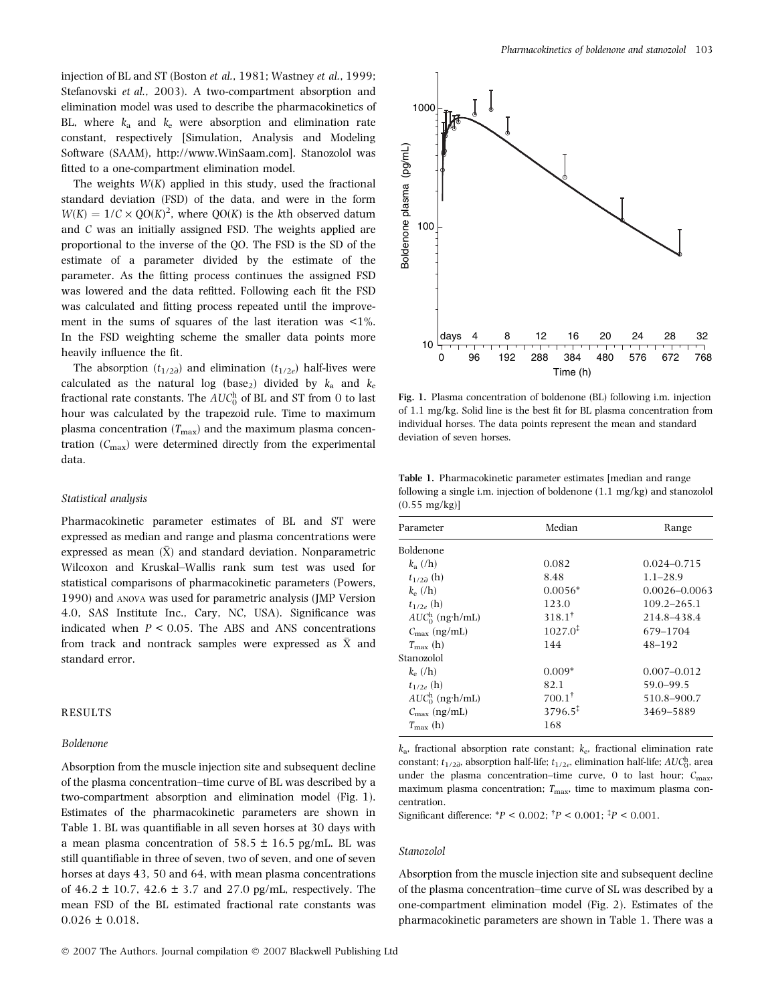injection of BL and ST (Boston et al., 1981; Wastney et al., 1999; Stefanovski et al., 2003). A two-compartment absorption and elimination model was used to describe the pharmacokinetics of BL, where  $k_a$  and  $k_e$  were absorption and elimination rate constant, respectively [Simulation, Analysis and Modeling Software (SAAM), http://www.WinSaam.com]. Stanozolol was fitted to a one-compartment elimination model.

The weights  $W(K)$  applied in this study, used the fractional standard deviation (FSD) of the data, and were in the form  $W(K) = 1/C \times QO(K)^2$ , where QO(K) is the kth observed datum and C was an initially assigned FSD. The weights applied are proportional to the inverse of the QO. The FSD is the SD of the estimate of a parameter divided by the estimate of the parameter. As the fitting process continues the assigned FSD was lowered and the data refitted. Following each fit the FSD was calculated and fitting process repeated until the improvement in the sums of squares of the last iteration was <1%. In the FSD weighting scheme the smaller data points more heavily influence the fit.

The absorption  $(t_{1/2\partial})$  and elimination  $(t_{1/2e})$  half-lives were calculated as the natural log (base<sub>2</sub>) divided by  $k_a$  and  $k_e$ fractional rate constants. The  $AUC_0^{\text{h}}$  of BL and ST from 0 to last hour was calculated by the trapezoid rule. Time to maximum plasma concentration  $(T_{\text{max}})$  and the maximum plasma concentration  $(C_{\text{max}})$  were determined directly from the experimental data.

#### Statistical analysis

Pharmacokinetic parameter estimates of BL and ST were expressed as median and range and plasma concentrations were expressed as mean  $(\bar{X})$  and standard deviation. Nonparametric Wilcoxon and Kruskal–Wallis rank sum test was used for statistical comparisons of pharmacokinetic parameters (Powers, 1990) and ANOVA was used for parametric analysis (JMP Version 4.0, SAS Institute Inc., Cary, NC, USA). Significance was indicated when  $P < 0.05$ . The ABS and ANS concentrations from track and nontrack samples were expressed as  $\bar{\text{X}}$  and standard error.

#### RESULTS

#### Boldenone

Absorption from the muscle injection site and subsequent decline of the plasma concentration–time curve of BL was described by a two-compartment absorption and elimination model (Fig. 1). Estimates of the pharmacokinetic parameters are shown in Table 1. BL was quantifiable in all seven horses at 30 days with a mean plasma concentration of  $58.5 \pm 16.5$  pg/mL. BL was still quantifiable in three of seven, two of seven, and one of seven horses at days 43, 50 and 64, with mean plasma concentrations of  $46.2 \pm 10.7$ ,  $42.6 \pm 3.7$  and  $27.0$  pg/mL, respectively. The mean FSD of the BL estimated fractional rate constants was  $0.026 \pm 0.018$ .



Fig. 1. Plasma concentration of boldenone (BL) following i.m. injection of 1.1 mg/kg. Solid line is the best fit for BL plasma concentration from individual horses. The data points represent the mean and standard deviation of seven horses.

Table 1. Pharmacokinetic parameter estimates [median and range following a single i.m. injection of boldenone (1.1 mg/kg) and stanozolol  $(0.55 \text{ mg/kg})$ 

| Parameter             | Median              | Range             |
|-----------------------|---------------------|-------------------|
| Boldenone             |                     |                   |
| $k_a$ (/h)            | 0.082               | $0.024 - 0.715$   |
| $t_{1/2\lambda}$ (h)  | 8.48                | $1.1 - 28.9$      |
| $k_e$ (/h)            | $0.0056*$           | $0.0026 - 0.0063$ |
| $t_{1/2e}$ (h)        | 123.0               | 109.2–265.1       |
| $AUC0h$ (ng·h/mL)     | $318.1^{\dagger}$   | 214.8-438.4       |
| $C_{\rm max}$ (ng/mL) | $1027.0^{\ddagger}$ | 679-1704          |
| $T_{\rm max}$ (h)     | 144                 | $48 - 192$        |
| Stanozolol            |                     |                   |
| $k_e$ (/h)            | $0.009*$            | $0.007 - 0.012$   |
| $t_{1/2e}$ (h)        | 82.1                | $59.0 - 99.5$     |
| $AUC_0^h$ (ng·h/mL)   | $700.1^{\dagger}$   | 510.8–900.7       |
| $C_{\rm max}$ (ng/mL) | $3796.5^{\ddagger}$ | 3469-5889         |
| $T_{\rm max}$ (h)     | 168                 |                   |

 $k_a$ , fractional absorption rate constant;  $k_e$ , fractional elimination rate constant;  $t_{1/2\partial}$ , absorption half-life;  $t_{1/2e}$ , elimination half-life;  $AUC_0^{\text{h}}$ , area under the plasma concentration–time curve, 0 to last hour;  $C_{\text{max}}$ , maximum plasma concentration;  $T_{\text{max}}$ , time to maximum plasma concentration.

Significant difference:  $*P < 0.002$ ;  $^{\dagger}P < 0.001$ ;  $^{\dagger}P < 0.001$ .

#### Stanozolol

Absorption from the muscle injection site and subsequent decline of the plasma concentration–time curve of SL was described by a one-compartment elimination model (Fig. 2). Estimates of the pharmacokinetic parameters are shown in Table 1. There was a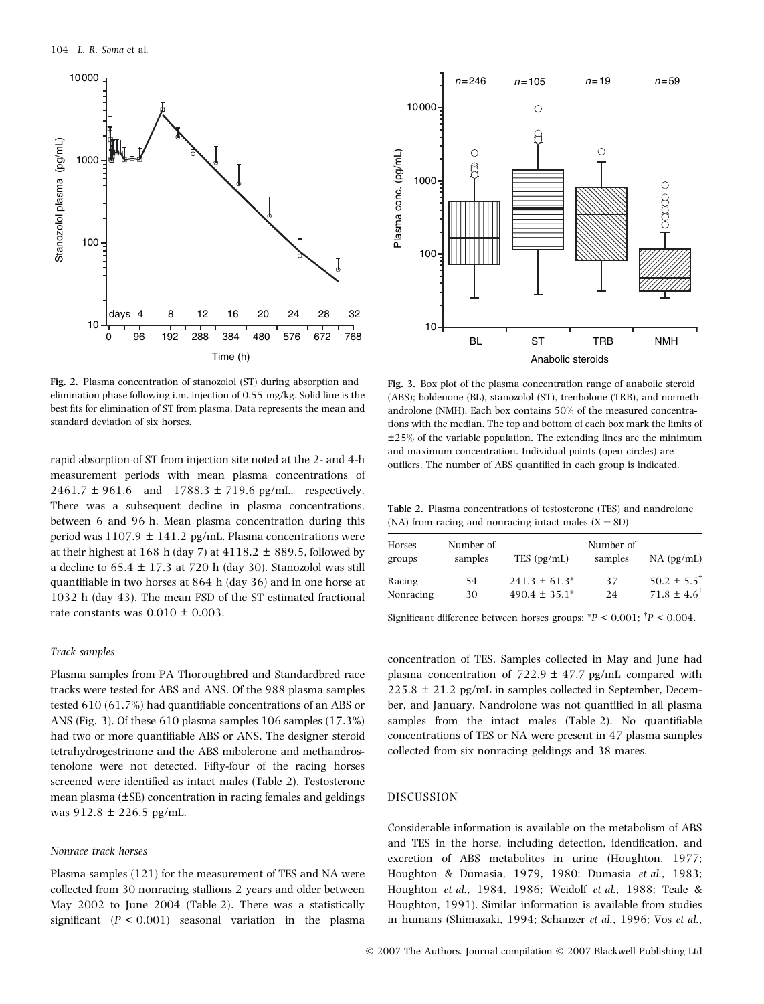

Fig. 2. Plasma concentration of stanozolol (ST) during absorption and elimination phase following i.m. injection of 0.55 mg/kg. Solid line is the best fits for elimination of ST from plasma. Data represents the mean and standard deviation of six horses.

rapid absorption of ST from injection site noted at the 2- and 4-h measurement periods with mean plasma concentrations of  $2461.7 \pm 961.6$  and  $1788.3 \pm 719.6$  pg/mL, respectively. There was a subsequent decline in plasma concentrations, between 6 and 96 h. Mean plasma concentration during this period was  $1107.9 \pm 141.2$  pg/mL. Plasma concentrations were at their highest at 168 h (day 7) at  $4118.2 \pm 889.5$ , followed by a decline to  $65.4 \pm 17.3$  at 720 h (day 30). Stanozolol was still quantifiable in two horses at 864 h (day 36) and in one horse at 1032 h (day 43). The mean FSD of the ST estimated fractional rate constants was  $0.010 \pm 0.003$ .

#### Track samples

Plasma samples from PA Thoroughbred and Standardbred race tracks were tested for ABS and ANS. Of the 988 plasma samples tested 610 (61.7%) had quantifiable concentrations of an ABS or ANS (Fig. 3). Of these 610 plasma samples 106 samples (17.3%) had two or more quantifiable ABS or ANS. The designer steroid tetrahydrogestrinone and the ABS mibolerone and methandrostenolone were not detected. Fifty-four of the racing horses screened were identified as intact males (Table 2). Testosterone mean plasma (±SE) concentration in racing females and geldings was 912.8 ± 226.5 pg/mL.

#### Nonrace track horses

Plasma samples (121) for the measurement of TES and NA were collected from 30 nonracing stallions 2 years and older between May 2002 to June 2004 (Table 2). There was a statistically significant  $(P < 0.001)$  seasonal variation in the plasma



Fig. 3. Box plot of the plasma concentration range of anabolic steroid (ABS); boldenone (BL), stanozolol (ST), trenbolone (TRB), and normethandrolone (NMH). Each box contains 50% of the measured concentrations with the median. The top and bottom of each box mark the limits of ±25% of the variable population. The extending lines are the minimum and maximum concentration. Individual points (open circles) are outliers. The number of ABS quantified in each group is indicated.

Table 2. Plasma concentrations of testosterone (TES) and nandrolone (NA) from racing and nonracing intact males ( $\bar{X} \pm SD$ )

| Horses<br>groups | Number of<br>samples | TES (pg/mL)        | Number of<br>samples | $NA$ (pg/mL)             |
|------------------|----------------------|--------------------|----------------------|--------------------------|
| Racing           | 54                   | $241.3 \pm 61.3^*$ | 37                   | $50.2 \pm 5.5^{\dagger}$ |
| Nonracing        | 30                   | $490.4 \pm 35.1^*$ | 24                   | $71.8 \pm 4.6^{\dagger}$ |

Significant difference between horses groups:  $*P < 0.001$ ;  $^{\dagger}P < 0.004$ .

concentration of TES. Samples collected in May and June had plasma concentration of  $722.9 \pm 47.7$  pg/mL compared with  $225.8 \pm 21.2$  pg/mL in samples collected in September, December, and January. Nandrolone was not quantified in all plasma samples from the intact males (Table 2). No quantifiable concentrations of TES or NA were present in 47 plasma samples collected from six nonracing geldings and 38 mares.

## DISCUSSION

Considerable information is available on the metabolism of ABS and TES in the horse, including detection, identification, and excretion of ABS metabolites in urine (Houghton, 1977; Houghton & Dumasia, 1979, 1980; Dumasia et al., 1983; Houghton et al., 1984, 1986; Weidolf et al., 1988; Teale & Houghton, 1991). Similar information is available from studies in humans (Shimazaki, 1994; Schanzer et al., 1996; Vos et al.,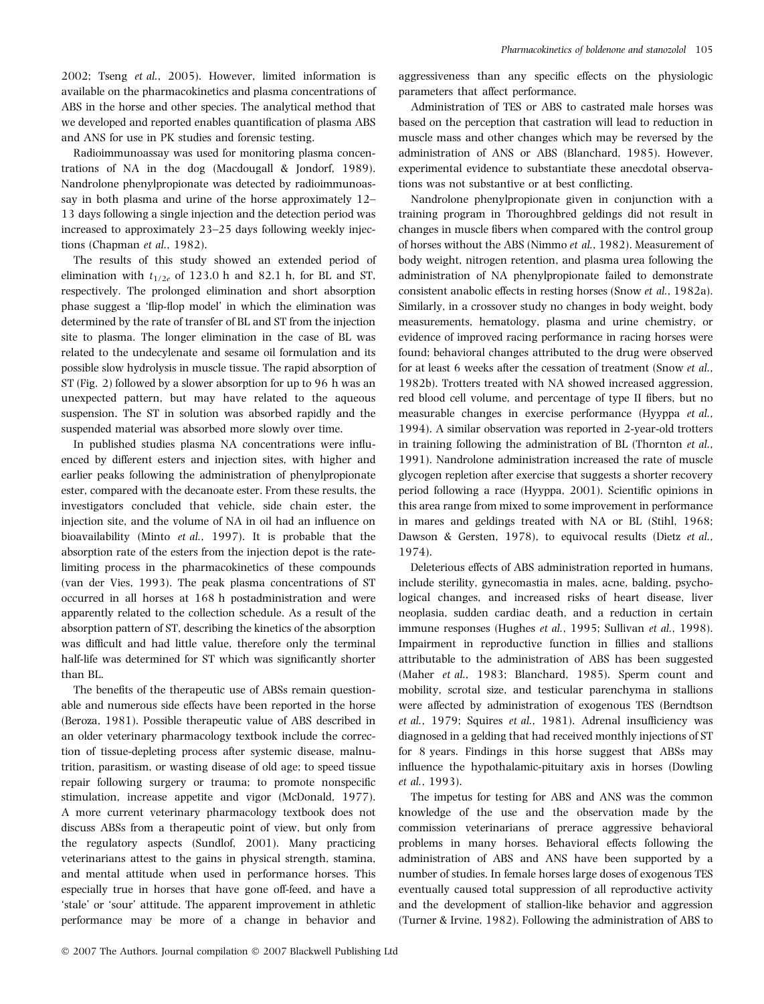2002; Tseng et al., 2005). However, limited information is available on the pharmacokinetics and plasma concentrations of ABS in the horse and other species. The analytical method that we developed and reported enables quantification of plasma ABS and ANS for use in PK studies and forensic testing.

Radioimmunoassay was used for monitoring plasma concentrations of NA in the dog (Macdougall & Jondorf, 1989). Nandrolone phenylpropionate was detected by radioimmunoassay in both plasma and urine of the horse approximately 12– 13 days following a single injection and the detection period was increased to approximately 23–25 days following weekly injections (Chapman et al., 1982).

The results of this study showed an extended period of elimination with  $t_{1/2e}$  of 123.0 h and 82.1 h, for BL and ST, respectively. The prolonged elimination and short absorption phase suggest a 'flip-flop model' in which the elimination was determined by the rate of transfer of BL and ST from the injection site to plasma. The longer elimination in the case of BL was related to the undecylenate and sesame oil formulation and its possible slow hydrolysis in muscle tissue. The rapid absorption of ST (Fig. 2) followed by a slower absorption for up to 96 h was an unexpected pattern, but may have related to the aqueous suspension. The ST in solution was absorbed rapidly and the suspended material was absorbed more slowly over time.

In published studies plasma NA concentrations were influenced by different esters and injection sites, with higher and earlier peaks following the administration of phenylpropionate ester, compared with the decanoate ester. From these results, the investigators concluded that vehicle, side chain ester, the injection site, and the volume of NA in oil had an influence on bioavailability (Minto et al., 1997). It is probable that the absorption rate of the esters from the injection depot is the ratelimiting process in the pharmacokinetics of these compounds (van der Vies, 1993). The peak plasma concentrations of ST occurred in all horses at 168 h postadministration and were apparently related to the collection schedule. As a result of the absorption pattern of ST, describing the kinetics of the absorption was difficult and had little value, therefore only the terminal half-life was determined for ST which was significantly shorter than BL.

The benefits of the therapeutic use of ABSs remain questionable and numerous side effects have been reported in the horse (Beroza, 1981). Possible therapeutic value of ABS described in an older veterinary pharmacology textbook include the correction of tissue-depleting process after systemic disease, malnutrition, parasitism, or wasting disease of old age; to speed tissue repair following surgery or trauma; to promote nonspecific stimulation, increase appetite and vigor (McDonald, 1977). A more current veterinary pharmacology textbook does not discuss ABSs from a therapeutic point of view, but only from the regulatory aspects (Sundlof, 2001). Many practicing veterinarians attest to the gains in physical strength, stamina, and mental attitude when used in performance horses. This especially true in horses that have gone off-feed, and have a 'stale' or 'sour' attitude. The apparent improvement in athletic performance may be more of a change in behavior and

aggressiveness than any specific effects on the physiologic parameters that affect performance.

Administration of TES or ABS to castrated male horses was based on the perception that castration will lead to reduction in muscle mass and other changes which may be reversed by the administration of ANS or ABS (Blanchard, 1985). However, experimental evidence to substantiate these anecdotal observations was not substantive or at best conflicting.

Nandrolone phenylpropionate given in conjunction with a training program in Thoroughbred geldings did not result in changes in muscle fibers when compared with the control group of horses without the ABS (Nimmo et al., 1982). Measurement of body weight, nitrogen retention, and plasma urea following the administration of NA phenylpropionate failed to demonstrate consistent anabolic effects in resting horses (Snow et al., 1982a). Similarly, in a crossover study no changes in body weight, body measurements, hematology, plasma and urine chemistry, or evidence of improved racing performance in racing horses were found; behavioral changes attributed to the drug were observed for at least 6 weeks after the cessation of treatment (Snow et al., 1982b). Trotters treated with NA showed increased aggression, red blood cell volume, and percentage of type II fibers, but no measurable changes in exercise performance (Hyyppa et al., 1994). A similar observation was reported in 2-year-old trotters in training following the administration of BL (Thornton et al., 1991). Nandrolone administration increased the rate of muscle glycogen repletion after exercise that suggests a shorter recovery period following a race (Hyyppa, 2001). Scientific opinions in this area range from mixed to some improvement in performance in mares and geldings treated with NA or BL (Stihl, 1968; Dawson & Gersten, 1978), to equivocal results (Dietz et al., 1974).

Deleterious effects of ABS administration reported in humans, include sterility, gynecomastia in males, acne, balding, psychological changes, and increased risks of heart disease, liver neoplasia, sudden cardiac death, and a reduction in certain immune responses (Hughes et al., 1995; Sullivan et al., 1998). Impairment in reproductive function in fillies and stallions attributable to the administration of ABS has been suggested (Maher et al., 1983; Blanchard, 1985). Sperm count and mobility, scrotal size, and testicular parenchyma in stallions were affected by administration of exogenous TES (Berndtson et al., 1979; Squires et al., 1981). Adrenal insufficiency was diagnosed in a gelding that had received monthly injections of ST for 8 years. Findings in this horse suggest that ABSs may influence the hypothalamic-pituitary axis in horses (Dowling et al., 1993).

The impetus for testing for ABS and ANS was the common knowledge of the use and the observation made by the commission veterinarians of prerace aggressive behavioral problems in many horses. Behavioral effects following the administration of ABS and ANS have been supported by a number of studies. In female horses large doses of exogenous TES eventually caused total suppression of all reproductive activity and the development of stallion-like behavior and aggression (Turner & Irvine, 1982). Following the administration of ABS to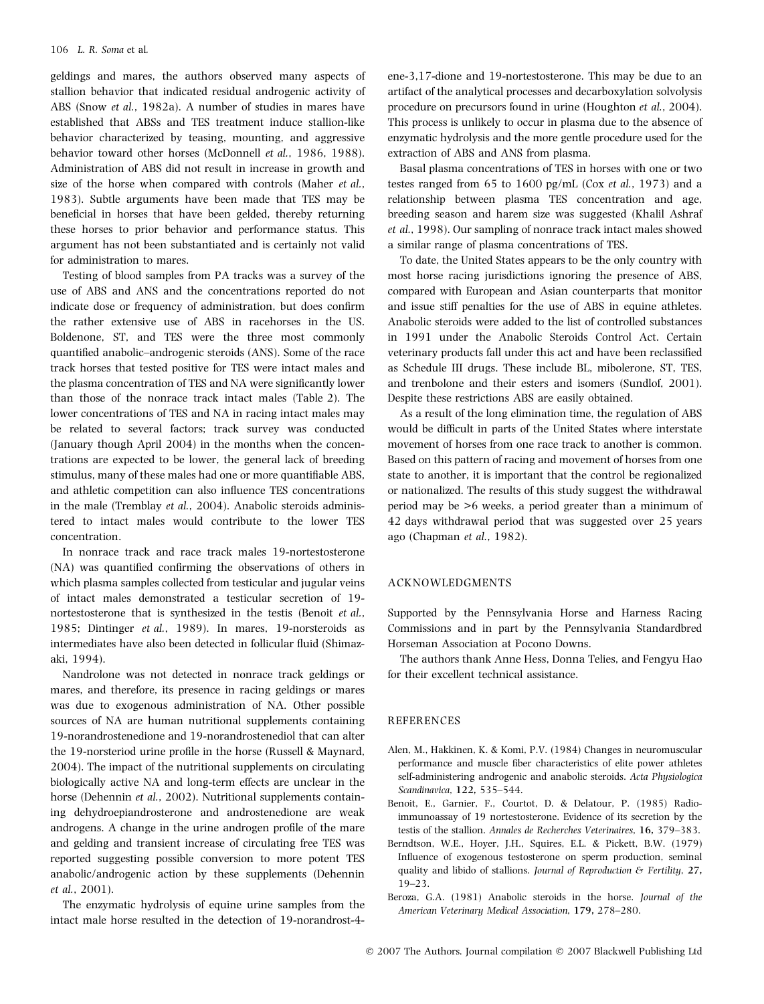geldings and mares, the authors observed many aspects of stallion behavior that indicated residual androgenic activity of ABS (Snow et al., 1982a). A number of studies in mares have established that ABSs and TES treatment induce stallion-like behavior characterized by teasing, mounting, and aggressive behavior toward other horses (McDonnell et al., 1986, 1988). Administration of ABS did not result in increase in growth and size of the horse when compared with controls (Maher et al., 1983). Subtle arguments have been made that TES may be beneficial in horses that have been gelded, thereby returning these horses to prior behavior and performance status. This argument has not been substantiated and is certainly not valid for administration to mares.

Testing of blood samples from PA tracks was a survey of the use of ABS and ANS and the concentrations reported do not indicate dose or frequency of administration, but does confirm the rather extensive use of ABS in racehorses in the US. Boldenone, ST, and TES were the three most commonly quantified anabolic–androgenic steroids (ANS). Some of the race track horses that tested positive for TES were intact males and the plasma concentration of TES and NA were significantly lower than those of the nonrace track intact males (Table 2). The lower concentrations of TES and NA in racing intact males may be related to several factors; track survey was conducted (January though April 2004) in the months when the concentrations are expected to be lower, the general lack of breeding stimulus, many of these males had one or more quantifiable ABS, and athletic competition can also influence TES concentrations in the male (Tremblay et al., 2004). Anabolic steroids administered to intact males would contribute to the lower TES concentration.

In nonrace track and race track males 19-nortestosterone (NA) was quantified confirming the observations of others in which plasma samples collected from testicular and jugular veins of intact males demonstrated a testicular secretion of 19 nortestosterone that is synthesized in the testis (Benoit et al., 1985; Dintinger et al., 1989). In mares, 19-norsteroids as intermediates have also been detected in follicular fluid (Shimazaki, 1994).

Nandrolone was not detected in nonrace track geldings or mares, and therefore, its presence in racing geldings or mares was due to exogenous administration of NA. Other possible sources of NA are human nutritional supplements containing 19-norandrostenedione and 19-norandrostenediol that can alter the 19-norsteriod urine profile in the horse (Russell & Maynard, 2004). The impact of the nutritional supplements on circulating biologically active NA and long-term effects are unclear in the horse (Dehennin et al., 2002). Nutritional supplements containing dehydroepiandrosterone and androstenedione are weak androgens. A change in the urine androgen profile of the mare and gelding and transient increase of circulating free TES was reported suggesting possible conversion to more potent TES anabolic/androgenic action by these supplements (Dehennin et al., 2001).

The enzymatic hydrolysis of equine urine samples from the intact male horse resulted in the detection of 19-norandrost-4ene-3,17-dione and 19-nortestosterone. This may be due to an artifact of the analytical processes and decarboxylation solvolysis procedure on precursors found in urine (Houghton et al., 2004). This process is unlikely to occur in plasma due to the absence of enzymatic hydrolysis and the more gentle procedure used for the extraction of ABS and ANS from plasma.

Basal plasma concentrations of TES in horses with one or two testes ranged from 65 to 1600 pg/mL (Cox et al., 1973) and a relationship between plasma TES concentration and age, breeding season and harem size was suggested (Khalil Ashraf et al., 1998). Our sampling of nonrace track intact males showed a similar range of plasma concentrations of TES.

To date, the United States appears to be the only country with most horse racing jurisdictions ignoring the presence of ABS, compared with European and Asian counterparts that monitor and issue stiff penalties for the use of ABS in equine athletes. Anabolic steroids were added to the list of controlled substances in 1991 under the Anabolic Steroids Control Act. Certain veterinary products fall under this act and have been reclassified as Schedule III drugs. These include BL, mibolerone, ST, TES, and trenbolone and their esters and isomers (Sundlof, 2001). Despite these restrictions ABS are easily obtained.

As a result of the long elimination time, the regulation of ABS would be difficult in parts of the United States where interstate movement of horses from one race track to another is common. Based on this pattern of racing and movement of horses from one state to another, it is important that the control be regionalized or nationalized. The results of this study suggest the withdrawal period may be >6 weeks, a period greater than a minimum of 42 days withdrawal period that was suggested over 25 years ago (Chapman et al., 1982).

### ACKNOWLEDGMENTS

Supported by the Pennsylvania Horse and Harness Racing Commissions and in part by the Pennsylvania Standardbred Horseman Association at Pocono Downs.

The authors thank Anne Hess, Donna Telies, and Fengyu Hao for their excellent technical assistance.

## **REFERENCES**

- Alen, M., Hakkinen, K. & Komi, P.V. (1984) Changes in neuromuscular performance and muscle fiber characteristics of elite power athletes self-administering androgenic and anabolic steroids. Acta Physiologica Scandinavica, 122, 535–544.
- Benoit, E., Garnier, F., Courtot, D. & Delatour, P. (1985) Radioimmunoassay of 19 nortestosterone. Evidence of its secretion by the testis of the stallion. Annales de Recherches Veterinaires, 16, 379–383.
- Berndtson, W.E., Hoyer, J.H., Squires, E.L. & Pickett, B.W. (1979) Influence of exogenous testosterone on sperm production, seminal quality and libido of stallions. Journal of Reproduction & Fertility, 27, 19–23.
- Beroza, G.A. (1981) Anabolic steroids in the horse. Journal of the American Veterinary Medical Association, 179, 278–280.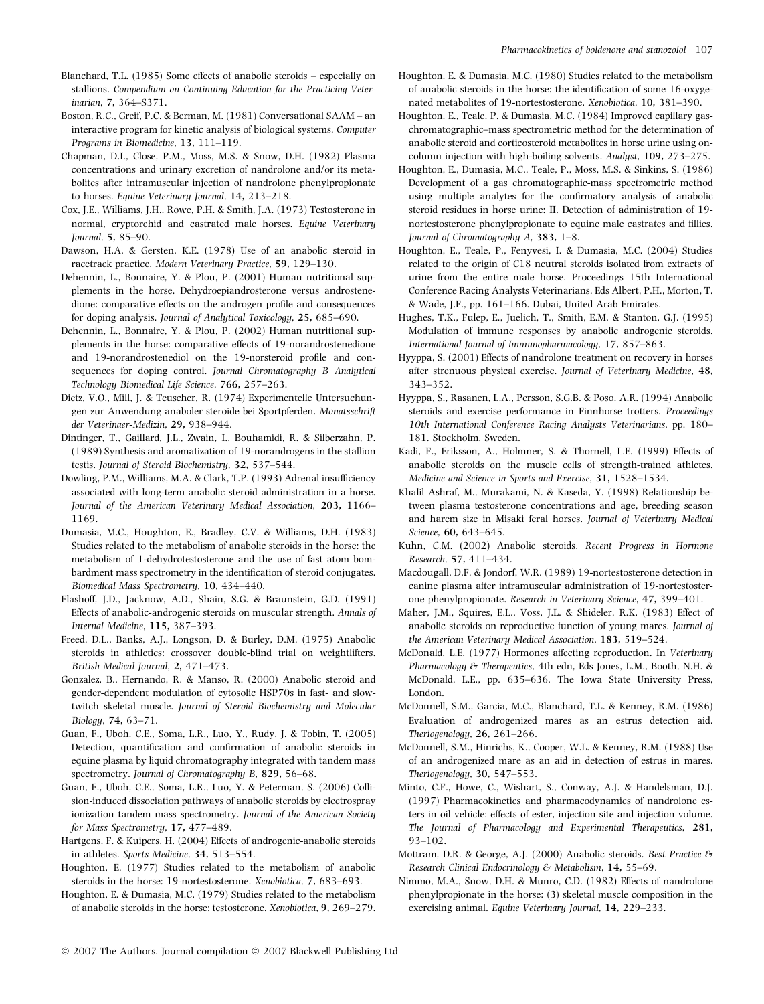- Blanchard, T.L. (1985) Some effects of anabolic steroids especially on stallions. Compendium on Continuing Education for the Practicing Veterinarian, 7, 364–S371.
- Boston, R.C., Greif, P.C. & Berman, M. (1981) Conversational SAAM an interactive program for kinetic analysis of biological systems. Computer Programs in Biomedicine, 13, 111–119.
- Chapman, D.I., Close, P.M., Moss, M.S. & Snow, D.H. (1982) Plasma concentrations and urinary excretion of nandrolone and/or its metabolites after intramuscular injection of nandrolone phenylpropionate to horses. Equine Veterinary Journal, 14, 213–218.
- Cox, J.E., Williams, J.H., Rowe, P.H. & Smith, J.A. (1973) Testosterone in normal, cryptorchid and castrated male horses. Equine Veterinary Journal, 5, 85–90.
- Dawson, H.A. & Gersten, K.E. (1978) Use of an anabolic steroid in racetrack practice. Modern Veterinary Practice, 59, 129–130.
- Dehennin, L., Bonnaire, Y. & Plou, P. (2001) Human nutritional supplements in the horse. Dehydroepiandrosterone versus androstenedione: comparative effects on the androgen profile and consequences for doping analysis. Journal of Analytical Toxicology, 25, 685–690.
- Dehennin, L., Bonnaire, Y. & Plou, P. (2002) Human nutritional supplements in the horse: comparative effects of 19-norandrostenedione and 19-norandrostenediol on the 19-norsteroid profile and consequences for doping control. Journal Chromatography B Analytical Technology Biomedical Life Science, 766, 257–263.
- Dietz, V.O., Mill, J. & Teuscher, R. (1974) Experimentelle Untersuchungen zur Anwendung anaboler steroide bei Sportpferden. Monatsschrift der Veterinaer-Medizin, 29, 938–944.
- Dintinger, T., Gaillard, J.L., Zwain, I., Bouhamidi, R. & Silberzahn, P. (1989) Synthesis and aromatization of 19-norandrogens in the stallion testis. Journal of Steroid Biochemistry, 32, 537–544.
- Dowling, P.M., Williams, M.A. & Clark, T.P. (1993) Adrenal insufficiency associated with long-term anabolic steroid administration in a horse. Journal of the American Veterinary Medical Association, 203, 1166– 1169.
- Dumasia, M.C., Houghton, E., Bradley, C.V. & Williams, D.H. (1983) Studies related to the metabolism of anabolic steroids in the horse: the metabolism of 1-dehydrotestosterone and the use of fast atom bombardment mass spectrometry in the identification of steroid conjugates. Biomedical Mass Spectrometry, 10, 434–440.
- Elashoff, J.D., Jacknow, A.D., Shain, S.G. & Braunstein, G.D. (1991) Effects of anabolic-androgenic steroids on muscular strength. Annals of Internal Medicine, 115, 387–393.
- Freed, D.L., Banks, A.J., Longson, D. & Burley, D.M. (1975) Anabolic steroids in athletics: crossover double-blind trial on weightlifters. British Medical Journal, 2, 471–473.
- Gonzalez, B., Hernando, R. & Manso, R. (2000) Anabolic steroid and gender-dependent modulation of cytosolic HSP70s in fast- and slowtwitch skeletal muscle. Journal of Steroid Biochemistry and Molecular Biology, 74, 63–71.
- Guan, F., Uboh, C.E., Soma, L.R., Luo, Y., Rudy, J. & Tobin, T. (2005) Detection, quantification and confirmation of anabolic steroids in equine plasma by liquid chromatography integrated with tandem mass spectrometry. Journal of Chromatography B, 829, 56-68.
- Guan, F., Uboh, C.E., Soma, L.R., Luo, Y. & Peterman, S. (2006) Collision-induced dissociation pathways of anabolic steroids by electrospray ionization tandem mass spectrometry. Journal of the American Society for Mass Spectrometry, 17, 477–489.
- Hartgens, F. & Kuipers, H. (2004) Effects of androgenic-anabolic steroids in athletes. Sports Medicine, 34, 513–554.
- Houghton, E. (1977) Studies related to the metabolism of anabolic steroids in the horse: 19-nortestosterone. Xenobiotica, 7, 683–693.
- Houghton, E. & Dumasia, M.C. (1979) Studies related to the metabolism of anabolic steroids in the horse: testosterone. Xenobiotica, 9, 269–279.
- Houghton, E. & Dumasia, M.C. (1980) Studies related to the metabolism of anabolic steroids in the horse: the identification of some 16-oxygenated metabolites of 19-nortestosterone. Xenobiotica, 10, 381–390.
- Houghton, E., Teale, P. & Dumasia, M.C. (1984) Improved capillary gaschromatographic–mass spectrometric method for the determination of anabolic steroid and corticosteroid metabolites in horse urine using oncolumn injection with high-boiling solvents. Analyst, 109, 273–275.
- Houghton, E., Dumasia, M.C., Teale, P., Moss, M.S. & Sinkins, S. (1986) Development of a gas chromatographic-mass spectrometric method using multiple analytes for the confirmatory analysis of anabolic steroid residues in horse urine: II. Detection of administration of 19 nortestosterone phenylpropionate to equine male castrates and fillies. Journal of Chromatography A, 383, 1–8.
- Houghton, E., Teale, P., Fenyvesi, I. & Dumasia, M.C. (2004) Studies related to the origin of C18 neutral steroids isolated from extracts of urine from the entire male horse. Proceedings 15th International Conference Racing Analysts Veterinarians. Eds Albert, P.H., Morton, T. & Wade, J.F., pp. 161–166. Dubai, United Arab Emirates.
- Hughes, T.K., Fulep, E., Juelich, T., Smith, E.M. & Stanton, G.J. (1995) Modulation of immune responses by anabolic androgenic steroids. International Journal of Immunopharmacology, 17, 857–863.
- Hyyppa, S. (2001) Effects of nandrolone treatment on recovery in horses after strenuous physical exercise. Journal of Veterinary Medicine, 48, 343–352.
- Hyyppa, S., Rasanen, L.A., Persson, S.G.B. & Poso, A.R. (1994) Anabolic steroids and exercise performance in Finnhorse trotters. Proceedings 10th International Conference Racing Analysts Veterinarians. pp. 180– 181. Stockholm, Sweden.
- Kadi, F., Eriksson, A., Holmner, S. & Thornell, L.E. (1999) Effects of anabolic steroids on the muscle cells of strength-trained athletes. Medicine and Science in Sports and Exercise, 31, 1528–1534.
- Khalil Ashraf, M., Murakami, N. & Kaseda, Y. (1998) Relationship between plasma testosterone concentrations and age, breeding season and harem size in Misaki feral horses. Journal of Veterinary Medical Science, 60, 643–645.
- Kuhn, C.M. (2002) Anabolic steroids. Recent Progress in Hormone Research, 57, 411–434.
- Macdougall, D.F. & Jondorf, W.R. (1989) 19-nortestosterone detection in canine plasma after intramuscular administration of 19-nortestosterone phenylpropionate. Research in Veterinary Science, 47, 399–401.
- Maher, J.M., Squires, E.L., Voss, J.L. & Shideler, R.K. (1983) Effect of anabolic steroids on reproductive function of young mares. Journal of the American Veterinary Medical Association, 183, 519–524.
- McDonald, L.E. (1977) Hormones affecting reproduction. In Veterinary Pharmacology & Therapeutics, 4th edn, Eds Jones, L.M., Booth, N.H. & McDonald, L.E., pp. 635–636. The Iowa State University Press, London.
- McDonnell, S.M., Garcia, M.C., Blanchard, T.L. & Kenney, R.M. (1986) Evaluation of androgenized mares as an estrus detection aid. Theriogenology, 26, 261–266.
- McDonnell, S.M., Hinrichs, K., Cooper, W.L. & Kenney, R.M. (1988) Use of an androgenized mare as an aid in detection of estrus in mares. Theriogenology, 30, 547–553.
- Minto, C.F., Howe, C., Wishart, S., Conway, A.J. & Handelsman, D.J. (1997) Pharmacokinetics and pharmacodynamics of nandrolone esters in oil vehicle: effects of ester, injection site and injection volume. The Journal of Pharmacology and Experimental Therapeutics, 281, 93–102.
- Mottram, D.R. & George, A.J. (2000) Anabolic steroids. Best Practice & Research Clinical Endocrinology & Metabolism, 14, 55–69.
- Nimmo, M.A., Snow, D.H. & Munro, C.D. (1982) Effects of nandrolone phenylpropionate in the horse: (3) skeletal muscle composition in the exercising animal. Equine Veterinary Journal, 14, 229–233.